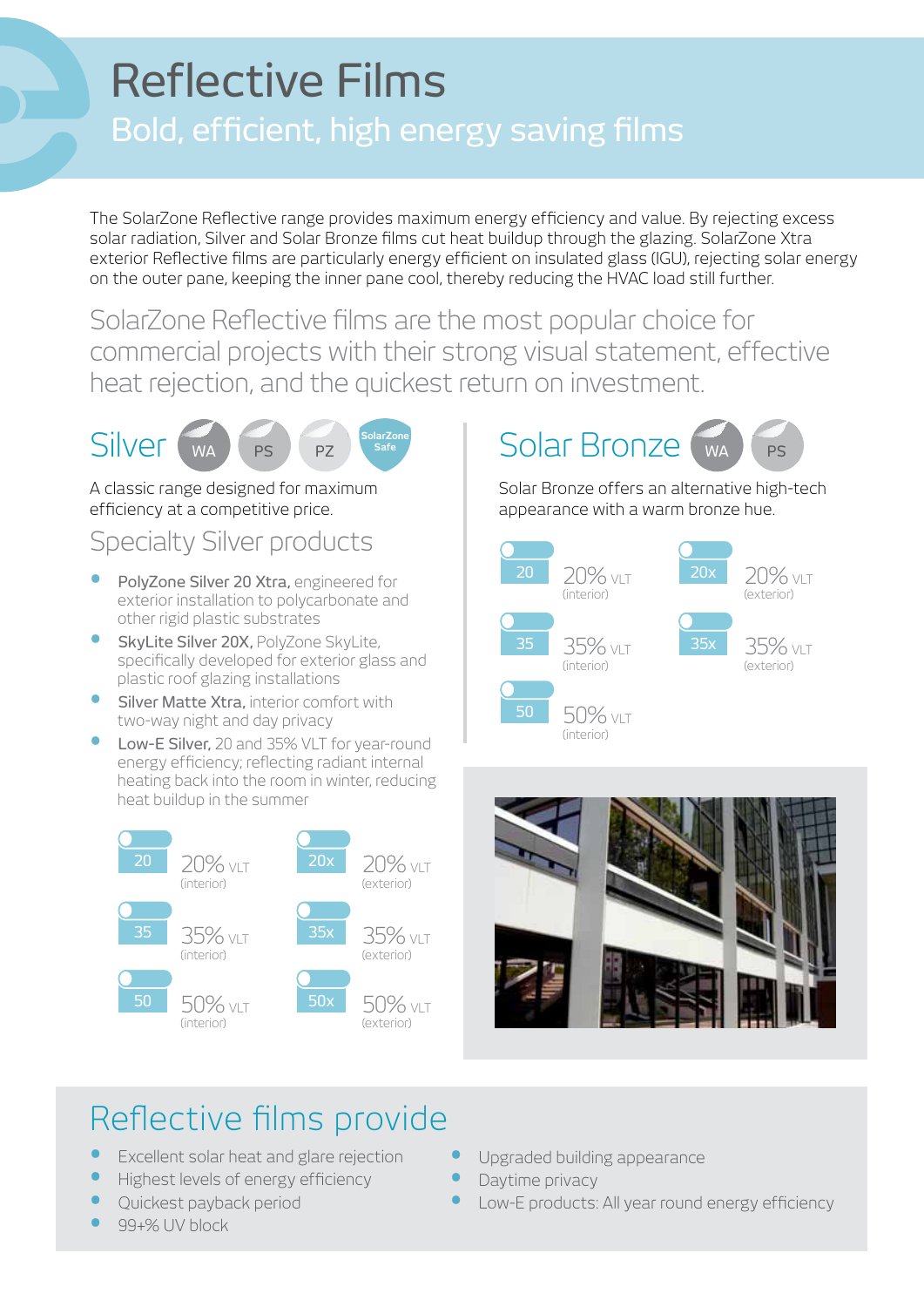## Reflective Films Bold, efficient, high energy saving films

The SolarZone Reflective range provides maximum energy efficiency and value. By rejecting excess solar radiation, Silver and Solar Bronze films cut heat buildup through the glazing. SolarZone Xtra exterior Reflective films are particularly energy efficient on insulated glass (IGU), rejecting solar energy on the outer pane, keeping the inner pane cool, thereby reducing the HVAC load still further.

SolarZone Reflective films are the most popular choice for commercial projects with their strong visual statement, effective heat rejection, and the quickest return on investment.



A classic range designed for maximum efficiency at a competitive price.

## Specialty Silver products

- PolyZone Silver 20 Xtra, engineered for exterior installation to polycarbonate and other rigid plastic substrates
- **SkyLite Silver 20X, PolyZone SkyLite,** specifically developed for exterior glass and plastic roof glazing installations
- **•** Silver Matte Xtra, interior comfort with two-way night and day privacy
- Low-E Silver, 20 and 35% VLT for year-round energy efficiency; reflecting radiant internal heating back into the room in winter, reducing heat buildup in the summer



## WA PS PZ Solarzone Solar Bronze WA PS

Solar Bronze offers an alternative high-tech appearance with a warm bronze hue.





## Reflective films provide

- **Excellent solar heat and glare rejection**
- **Highest levels of energy efficiency**
- Quickest payback period
- **•**  99+% UV block
- Upgraded building appearance
- Daytime privacy
- Low-E products: All year round energy efficiency